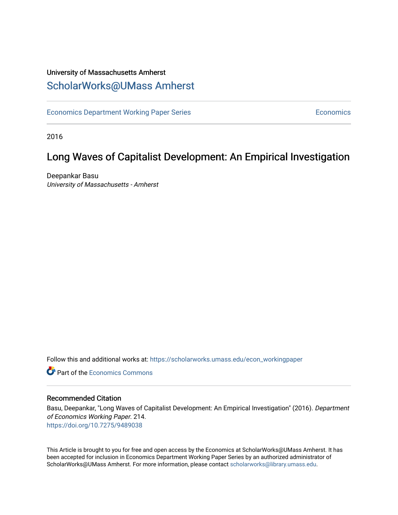# University of Massachusetts Amherst [ScholarWorks@UMass Amherst](https://scholarworks.umass.edu/)

[Economics Department Working Paper Series](https://scholarworks.umass.edu/econ_workingpaper) **Economics** Economics

2016

# Long Waves of Capitalist Development: An Empirical Investigation

Deepankar Basu University of Massachusetts - Amherst

Follow this and additional works at: [https://scholarworks.umass.edu/econ\\_workingpaper](https://scholarworks.umass.edu/econ_workingpaper?utm_source=scholarworks.umass.edu%2Fecon_workingpaper%2F214&utm_medium=PDF&utm_campaign=PDFCoverPages) 

**C** Part of the [Economics Commons](http://network.bepress.com/hgg/discipline/340?utm_source=scholarworks.umass.edu%2Fecon_workingpaper%2F214&utm_medium=PDF&utm_campaign=PDFCoverPages)

#### Recommended Citation

Basu, Deepankar, "Long Waves of Capitalist Development: An Empirical Investigation" (2016). Department of Economics Working Paper. 214. <https://doi.org/10.7275/9489038>

This Article is brought to you for free and open access by the Economics at ScholarWorks@UMass Amherst. It has been accepted for inclusion in Economics Department Working Paper Series by an authorized administrator of ScholarWorks@UMass Amherst. For more information, please contact [scholarworks@library.umass.edu.](mailto:scholarworks@library.umass.edu)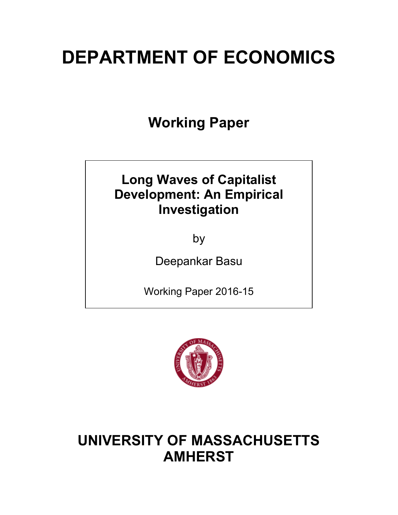# **DEPARTMENT OF ECONOMICS**

**Working Paper**

# **Long Waves of Capitalist Development: An Empirical Investigation**

by

Deepankar Basu

Working Paper 2016-15



# **UNIVERSITY OF MASSACHUSETTS AMHERST**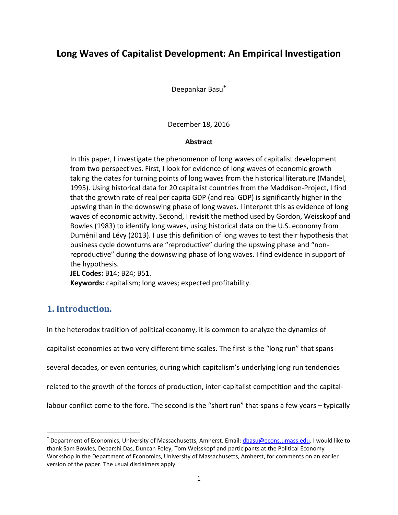# **Long Waves of Capitalist Development: An Empirical Investigation**

Deepankar Basu<sup>±</sup>

December 18, 2016

#### **Abstract**

In this paper, I investigate the phenomenon of long waves of capitalist development from two perspectives. First, I look for evidence of long waves of economic growth taking the dates for turning points of long waves from the historical literature (Mandel, 1995). Using historical data for 20 capitalist countries from the Maddison-Project, I find that the growth rate of real per capita GDP (and real GDP) is significantly higher in the upswing than in the downswing phase of long waves. I interpret this as evidence of long waves of economic activity. Second, I revisit the method used by Gordon, Weisskopf and Bowles (1983) to identify long waves, using historical data on the U.S. economy from Duménil and Lévy (2013). I use this definition of long waves to test their hypothesis that business cycle downturns are "reproductive" during the upswing phase and "nonreproductive" during the downswing phase of long waves. I find evidence in support of the hypothesis.

**JEL Codes:** B14; B24; B51. **Keywords:** capitalism; long waves; expected profitability.

### **1. Introduction.**

In the heterodox tradition of political economy, it is common to analyze the dynamics of

capitalist economies at two very different time scales. The first is the "long run" that spans

several decades, or even centuries, during which capitalism's underlying long run tendencies

related to the growth of the forces of production, inter-capitalist competition and the capital-

labour conflict come to the fore. The second is the "short run" that spans a few years – typically

 <sup>±</sup> Department of Economics, University of Massachusetts, Amherst. Email: dbasu@econs.umass.edu. I would like to thank Sam Bowles, Debarshi Das, Duncan Foley, Tom Weisskopf and participants at the Political Economy Workshop in the Department of Economics, University of Massachusetts, Amherst, for comments on an earlier version of the paper. The usual disclaimers apply.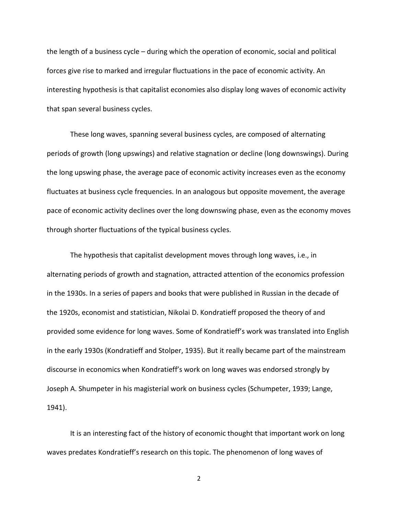the length of a business cycle – during which the operation of economic, social and political forces give rise to marked and irregular fluctuations in the pace of economic activity. An interesting hypothesis is that capitalist economies also display long waves of economic activity that span several business cycles.

These long waves, spanning several business cycles, are composed of alternating periods of growth (long upswings) and relative stagnation or decline (long downswings). During the long upswing phase, the average pace of economic activity increases even as the economy fluctuates at business cycle frequencies. In an analogous but opposite movement, the average pace of economic activity declines over the long downswing phase, even as the economy moves through shorter fluctuations of the typical business cycles.

The hypothesis that capitalist development moves through long waves, i.e., in alternating periods of growth and stagnation, attracted attention of the economics profession in the 1930s. In a series of papers and books that were published in Russian in the decade of the 1920s, economist and statistician, Nikolai D. Kondratieff proposed the theory of and provided some evidence for long waves. Some of Kondratieff's work was translated into English in the early 1930s (Kondratieff and Stolper, 1935). But it really became part of the mainstream discourse in economics when Kondratieff's work on long waves was endorsed strongly by Joseph A. Shumpeter in his magisterial work on business cycles (Schumpeter, 1939; Lange, 1941).

It is an interesting fact of the history of economic thought that important work on long waves predates Kondratieff's research on this topic. The phenomenon of long waves of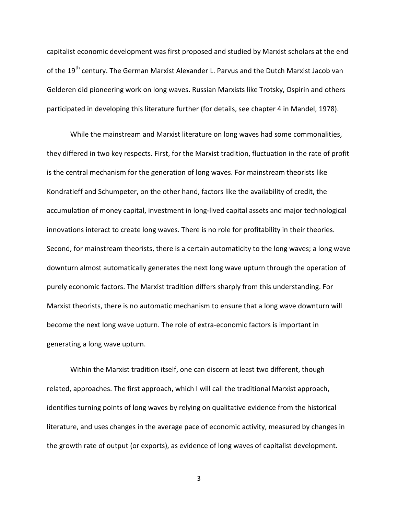capitalist economic development was first proposed and studied by Marxist scholars at the end of the 19<sup>th</sup> century. The German Marxist Alexander L. Parvus and the Dutch Marxist Jacob van Gelderen did pioneering work on long waves. Russian Marxists like Trotsky, Ospirin and others participated in developing this literature further (for details, see chapter 4 in Mandel, 1978).

While the mainstream and Marxist literature on long waves had some commonalities, they differed in two key respects. First, for the Marxist tradition, fluctuation in the rate of profit is the central mechanism for the generation of long waves. For mainstream theorists like Kondratieff and Schumpeter, on the other hand, factors like the availability of credit, the accumulation of money capital, investment in long-lived capital assets and major technological innovations interact to create long waves. There is no role for profitability in their theories. Second, for mainstream theorists, there is a certain automaticity to the long waves; a long wave downturn almost automatically generates the next long wave upturn through the operation of purely economic factors. The Marxist tradition differs sharply from this understanding. For Marxist theorists, there is no automatic mechanism to ensure that a long wave downturn will become the next long wave upturn. The role of extra-economic factors is important in generating a long wave upturn.

Within the Marxist tradition itself, one can discern at least two different, though related, approaches. The first approach, which I will call the traditional Marxist approach, identifies turning points of long waves by relying on qualitative evidence from the historical literature, and uses changes in the average pace of economic activity, measured by changes in the growth rate of output (or exports), as evidence of long waves of capitalist development.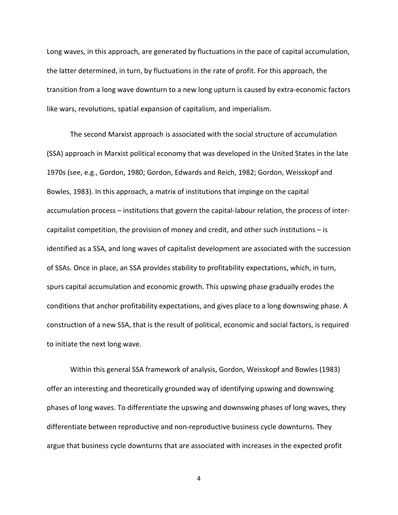Long waves, in this approach, are generated by fluctuations in the pace of capital accumulation, the latter determined, in turn, by fluctuations in the rate of profit. For this approach, the transition from a long wave downturn to a new long upturn is caused by extra-economic factors like wars, revolutions, spatial expansion of capitalism, and imperialism.

The second Marxist approach is associated with the social structure of accumulation (SSA) approach in Marxist political economy that was developed in the United States in the late 1970s (see, e.g., Gordon, 1980; Gordon, Edwards and Reich, 1982; Gordon, Weisskopf and Bowles, 1983). In this approach, a matrix of institutions that impinge on the capital accumulation process – institutions that govern the capital-labour relation, the process of intercapitalist competition, the provision of money and credit, and other such institutions – is identified as a SSA, and long waves of capitalist development are associated with the succession of SSAs. Once in place, an SSA provides stability to profitability expectations, which, in turn, spurs capital accumulation and economic growth. This upswing phase gradually erodes the conditions that anchor profitability expectations, and gives place to a long downswing phase. A construction of a new SSA, that is the result of political, economic and social factors, is required to initiate the next long wave.

Within this general SSA framework of analysis, Gordon, Weisskopf and Bowles (1983) offer an interesting and theoretically grounded way of identifying upswing and downswing phases of long waves. To differentiate the upswing and downswing phases of long waves, they differentiate between reproductive and non-reproductive business cycle downturns. They argue that business cycle downturns that are associated with increases in the expected profit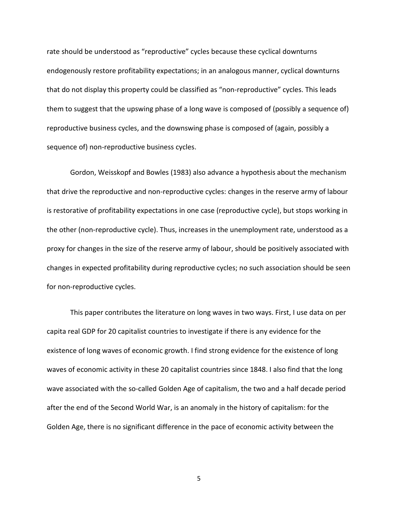rate should be understood as "reproductive" cycles because these cyclical downturns endogenously restore profitability expectations; in an analogous manner, cyclical downturns that do not display this property could be classified as "non-reproductive" cycles. This leads them to suggest that the upswing phase of a long wave is composed of (possibly a sequence of) reproductive business cycles, and the downswing phase is composed of (again, possibly a sequence of) non-reproductive business cycles.

Gordon, Weisskopf and Bowles (1983) also advance a hypothesis about the mechanism that drive the reproductive and non-reproductive cycles: changes in the reserve army of labour is restorative of profitability expectations in one case (reproductive cycle), but stops working in the other (non-reproductive cycle). Thus, increases in the unemployment rate, understood as a proxy for changes in the size of the reserve army of labour, should be positively associated with changes in expected profitability during reproductive cycles; no such association should be seen for non-reproductive cycles.

This paper contributes the literature on long waves in two ways. First, I use data on per capita real GDP for 20 capitalist countries to investigate if there is any evidence for the existence of long waves of economic growth. I find strong evidence for the existence of long waves of economic activity in these 20 capitalist countries since 1848. I also find that the long wave associated with the so-called Golden Age of capitalism, the two and a half decade period after the end of the Second World War, is an anomaly in the history of capitalism: for the Golden Age, there is no significant difference in the pace of economic activity between the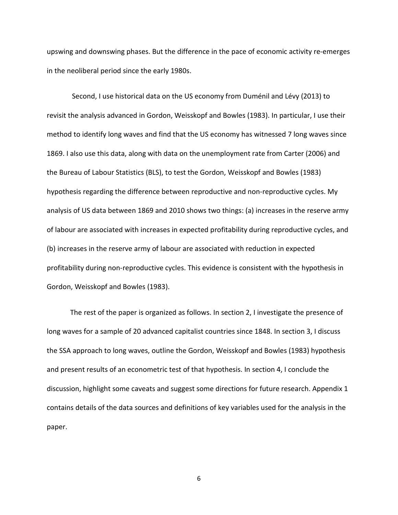upswing and downswing phases. But the difference in the pace of economic activity re-emerges in the neoliberal period since the early 1980s.

Second, I use historical data on the US economy from Duménil and Lévy (2013) to revisit the analysis advanced in Gordon, Weisskopf and Bowles (1983). In particular, I use their method to identify long waves and find that the US economy has witnessed 7 long waves since 1869. I also use this data, along with data on the unemployment rate from Carter (2006) and the Bureau of Labour Statistics (BLS), to test the Gordon, Weisskopf and Bowles (1983) hypothesis regarding the difference between reproductive and non-reproductive cycles. My analysis of US data between 1869 and 2010 shows two things: (a) increases in the reserve army of labour are associated with increases in expected profitability during reproductive cycles, and (b) increases in the reserve army of labour are associated with reduction in expected profitability during non-reproductive cycles. This evidence is consistent with the hypothesis in Gordon, Weisskopf and Bowles (1983).

The rest of the paper is organized as follows. In section 2, I investigate the presence of long waves for a sample of 20 advanced capitalist countries since 1848. In section 3, I discuss the SSA approach to long waves, outline the Gordon, Weisskopf and Bowles (1983) hypothesis and present results of an econometric test of that hypothesis. In section 4, I conclude the discussion, highlight some caveats and suggest some directions for future research. Appendix 1 contains details of the data sources and definitions of key variables used for the analysis in the paper.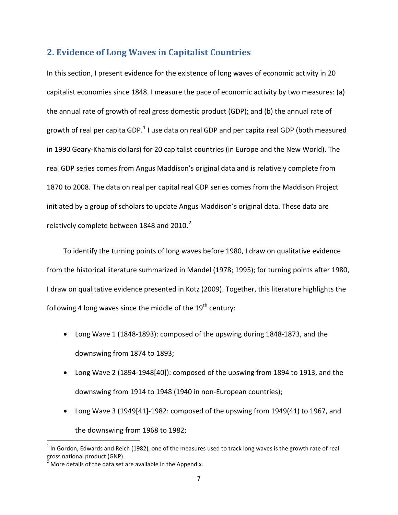### **2. Evidence of Long Waves in Capitalist Countries**

In this section, I present evidence for the existence of long waves of economic activity in 20 capitalist economies since 1848. I measure the pace of economic activity by two measures: (a) the annual rate of growth of real gross domestic product (GDP); and (b) the annual rate of growth of real per capita GDP.<sup>1</sup> I use data on real GDP and per capita real GDP (both measured in 1990 Geary-Khamis dollars) for 20 capitalist countries (in Europe and the New World). The real GDP series comes from Angus Maddison's original data and is relatively complete from 1870 to 2008. The data on real per capital real GDP series comes from the Maddison Project initiated by a group of scholars to update Angus Maddison's original data. These data are relatively complete between 1848 and 2010. $2$ 

To identify the turning points of long waves before 1980, I draw on qualitative evidence from the historical literature summarized in Mandel (1978; 1995); for turning points after 1980, I draw on qualitative evidence presented in Kotz (2009). Together, this literature highlights the following 4 long waves since the middle of the  $19<sup>th</sup>$  century:

- Long Wave 1 (1848-1893): composed of the upswing during 1848-1873, and the downswing from 1874 to 1893;
- Long Wave 2 (1894-1948[40]): composed of the upswing from 1894 to 1913, and the downswing from 1914 to 1948 (1940 in non-European countries);
- Long Wave 3 (1949[41]-1982: composed of the upswing from 1949(41) to 1967, and the downswing from 1968 to 1982;

 $1$  In Gordon, Edwards and Reich (1982), one of the measures used to track long waves is the growth rate of real gross national product (GNP).

 $2^{2}$  More details of the data set are available in the Appendix.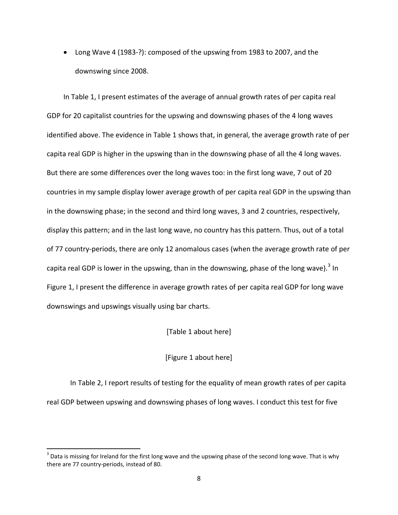• Long Wave 4 (1983-?): composed of the upswing from 1983 to 2007, and the downswing since 2008.

In Table 1, I present estimates of the average of annual growth rates of per capita real GDP for 20 capitalist countries for the upswing and downswing phases of the 4 long waves identified above. The evidence in Table 1 shows that, in general, the average growth rate of per capita real GDP is higher in the upswing than in the downswing phase of all the 4 long waves. But there are some differences over the long waves too: in the first long wave, 7 out of 20 countries in my sample display lower average growth of per capita real GDP in the upswing than in the downswing phase; in the second and third long waves, 3 and 2 countries, respectively, display this pattern; and in the last long wave, no country has this pattern. Thus, out of a total of 77 country-periods, there are only 12 anomalous cases (when the average growth rate of per capita real GDP is lower in the upswing, than in the downswing, phase of the long wave).<sup>3</sup> In Figure 1, I present the difference in average growth rates of per capita real GDP for long wave downswings and upswings visually using bar charts.

[Table 1 about here]

#### [Figure 1 about here]

In Table 2, I report results of testing for the equality of mean growth rates of per capita real GDP between upswing and downswing phases of long waves. I conduct this test for five

 $3$  Data is missing for Ireland for the first long wave and the upswing phase of the second long wave. That is why there are 77 country-periods, instead of 80.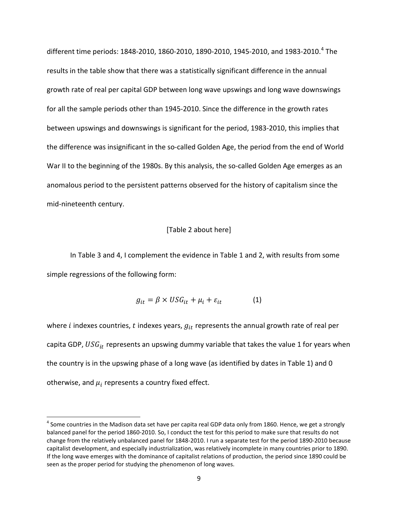different time periods: 1848-2010, 1860-2010, 1890-2010, 1945-2010, and 1983-2010.<sup>4</sup> The results in the table show that there was a statistically significant difference in the annual growth rate of real per capital GDP between long wave upswings and long wave downswings for all the sample periods other than 1945-2010. Since the difference in the growth rates between upswings and downswings is significant for the period, 1983-2010, this implies that the difference was insignificant in the so-called Golden Age, the period from the end of World War II to the beginning of the 1980s. By this analysis, the so-called Golden Age emerges as an anomalous period to the persistent patterns observed for the history of capitalism since the mid-nineteenth century.

#### [Table 2 about here]

In Table 3 and 4, I complement the evidence in Table 1 and 2, with results from some simple regressions of the following form:

$$
g_{it} = \beta \times USG_{it} + \mu_i + \varepsilon_{it} \tag{1}
$$

where *i* indexes countries, *t* indexes years,  $g_{it}$  represents the annual growth rate of real per capita GDP,  $USG_{it}$  represents an upswing dummy variable that takes the value 1 for years when the country is in the upswing phase of a long wave (as identified by dates in Table 1) and 0 otherwise, and  $\mu_i$  represents a country fixed effect.

 $^4$  Some countries in the Madison data set have per capita real GDP data only from 1860. Hence, we get a strongly balanced panel for the period 1860-2010. So, I conduct the test for this period to make sure that results do not change from the relatively unbalanced panel for 1848-2010. I run a separate test for the period 1890-2010 because capitalist development, and especially industrialization, was relatively incomplete in many countries prior to 1890. If the long wave emerges with the dominance of capitalist relations of production, the period since 1890 could be seen as the proper period for studying the phenomenon of long waves.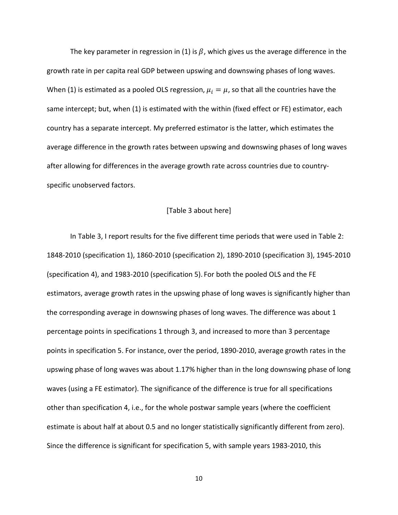The key parameter in regression in (1) is  $\beta$ , which gives us the average difference in the growth rate in per capita real GDP between upswing and downswing phases of long waves. When (1) is estimated as a pooled OLS regression,  $\mu_i = \mu$ , so that all the countries have the same intercept; but, when (1) is estimated with the within (fixed effect or FE) estimator, each country has a separate intercept. My preferred estimator is the latter, which estimates the average difference in the growth rates between upswing and downswing phases of long waves after allowing for differences in the average growth rate across countries due to countryspecific unobserved factors.

#### [Table 3 about here]

In Table 3, I report results for the five different time periods that were used in Table 2: 1848-2010 (specification 1), 1860-2010 (specification 2), 1890-2010 (specification 3), 1945-2010 (specification 4), and 1983-2010 (specification 5). For both the pooled OLS and the FE estimators, average growth rates in the upswing phase of long waves is significantly higher than the corresponding average in downswing phases of long waves. The difference was about 1 percentage points in specifications 1 through 3, and increased to more than 3 percentage points in specification 5. For instance, over the period, 1890-2010, average growth rates in the upswing phase of long waves was about 1.17% higher than in the long downswing phase of long waves (using a FE estimator). The significance of the difference is true for all specifications other than specification 4, i.e., for the whole postwar sample years (where the coefficient estimate is about half at about 0.5 and no longer statistically significantly different from zero). Since the difference is significant for specification 5, with sample years 1983-2010, this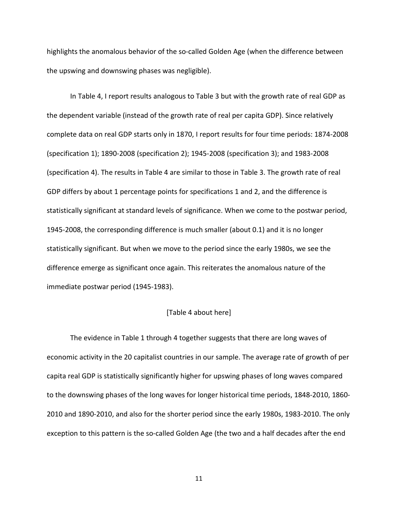highlights the anomalous behavior of the so-called Golden Age (when the difference between the upswing and downswing phases was negligible).

In Table 4, I report results analogous to Table 3 but with the growth rate of real GDP as the dependent variable (instead of the growth rate of real per capita GDP). Since relatively complete data on real GDP starts only in 1870, I report results for four time periods: 1874-2008 (specification 1); 1890-2008 (specification 2); 1945-2008 (specification 3); and 1983-2008 (specification 4). The results in Table 4 are similar to those in Table 3. The growth rate of real GDP differs by about 1 percentage points for specifications 1 and 2, and the difference is statistically significant at standard levels of significance. When we come to the postwar period, 1945-2008, the corresponding difference is much smaller (about 0.1) and it is no longer statistically significant. But when we move to the period since the early 1980s, we see the difference emerge as significant once again. This reiterates the anomalous nature of the immediate postwar period (1945-1983).

#### [Table 4 about here]

The evidence in Table 1 through 4 together suggests that there are long waves of economic activity in the 20 capitalist countries in our sample. The average rate of growth of per capita real GDP is statistically significantly higher for upswing phases of long waves compared to the downswing phases of the long waves for longer historical time periods, 1848-2010, 1860- 2010 and 1890-2010, and also for the shorter period since the early 1980s, 1983-2010. The only exception to this pattern is the so-called Golden Age (the two and a half decades after the end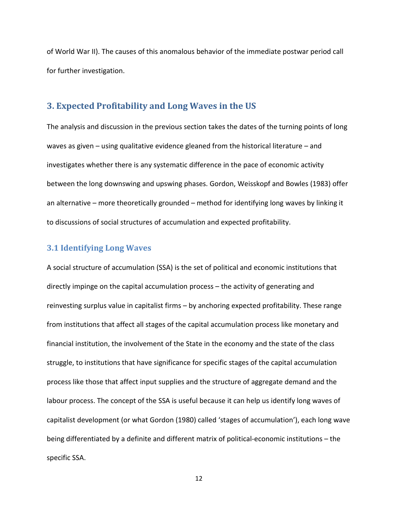of World War II). The causes of this anomalous behavior of the immediate postwar period call for further investigation.

#### **3. Expected Profitability and Long Waves in the US**

The analysis and discussion in the previous section takes the dates of the turning points of long waves as given – using qualitative evidence gleaned from the historical literature – and investigates whether there is any systematic difference in the pace of economic activity between the long downswing and upswing phases. Gordon, Weisskopf and Bowles (1983) offer an alternative – more theoretically grounded – method for identifying long waves by linking it to discussions of social structures of accumulation and expected profitability.

#### **3.1 Identifying Long Waves**

A social structure of accumulation (SSA) is the set of political and economic institutions that directly impinge on the capital accumulation process – the activity of generating and reinvesting surplus value in capitalist firms – by anchoring expected profitability. These range from institutions that affect all stages of the capital accumulation process like monetary and financial institution, the involvement of the State in the economy and the state of the class struggle, to institutions that have significance for specific stages of the capital accumulation process like those that affect input supplies and the structure of aggregate demand and the labour process. The concept of the SSA is useful because it can help us identify long waves of capitalist development (or what Gordon (1980) called 'stages of accumulation'), each long wave being differentiated by a definite and different matrix of political-economic institutions – the specific SSA.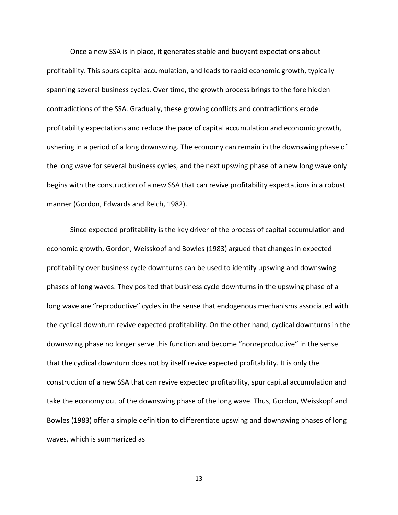Once a new SSA is in place, it generates stable and buoyant expectations about profitability. This spurs capital accumulation, and leads to rapid economic growth, typically spanning several business cycles. Over time, the growth process brings to the fore hidden contradictions of the SSA. Gradually, these growing conflicts and contradictions erode profitability expectations and reduce the pace of capital accumulation and economic growth, ushering in a period of a long downswing. The economy can remain in the downswing phase of the long wave for several business cycles, and the next upswing phase of a new long wave only begins with the construction of a new SSA that can revive profitability expectations in a robust manner (Gordon, Edwards and Reich, 1982).

Since expected profitability is the key driver of the process of capital accumulation and economic growth, Gordon, Weisskopf and Bowles (1983) argued that changes in expected profitability over business cycle downturns can be used to identify upswing and downswing phases of long waves. They posited that business cycle downturns in the upswing phase of a long wave are "reproductive" cycles in the sense that endogenous mechanisms associated with the cyclical downturn revive expected profitability. On the other hand, cyclical downturns in the downswing phase no longer serve this function and become "nonreproductive" in the sense that the cyclical downturn does not by itself revive expected profitability. It is only the construction of a new SSA that can revive expected profitability, spur capital accumulation and take the economy out of the downswing phase of the long wave. Thus, Gordon, Weisskopf and Bowles (1983) offer a simple definition to differentiate upswing and downswing phases of long waves, which is summarized as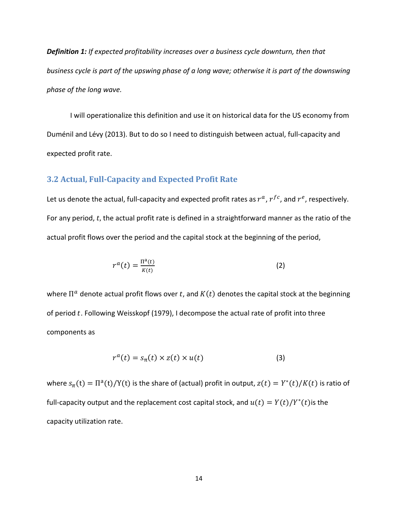*Definition 1: If expected profitability increases over a business cycle downturn, then that business cycle is part of the upswing phase of a long wave; otherwise it is part of the downswing phase of the long wave.*

I will operationalize this definition and use it on historical data for the US economy from Duménil and Lévy (2013). But to do so I need to distinguish between actual, full-capacity and expected profit rate.

#### **3.2 Actual, Full-Capacity and Expected Profit Rate**

Let us denote the actual, full-capacity and expected profit rates as  $r^a$ ,  $r^f$ , and  $r^e$ , respectively. For any period,  $t$ , the actual profit rate is defined in a straightforward manner as the ratio of the actual profit flows over the period and the capital stock at the beginning of the period,

$$
r^{a}(t) = \frac{\Pi^{a}(t)}{K(t)}
$$
 (2)

where  $\Pi^a$  denote actual profit flows over t, and  $K(t)$  denotes the capital stock at the beginning of period  $t$ . Following Weisskopf (1979), I decompose the actual rate of profit into three components as

$$
r^{a}(t) = s_{\pi}(t) \times z(t) \times u(t)
$$
 (3)

where  $s_{\pi}$ (t) =  $\Pi^{a}(t)/Y(t)$  is the share of (actual) profit in output,  $z(t) = Y^{*}(t)/K(t)$  is ratio of full-capacity output and the replacement cost capital stock, and  $u(t) = Y(t)/Y^*(t)$  is the capacity utilization rate.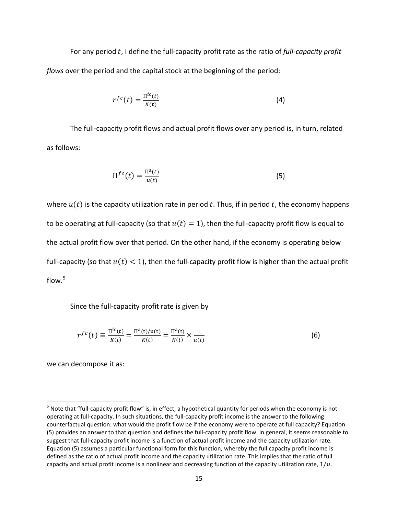For any period t, I define the full-capacity profit rate as the ratio of *full-capacity profit flows* over the period and the capital stock at the beginning of the period:

$$
r^{fc}(t) = \frac{\Pi^{fc}(t)}{K(t)}
$$
\n(4)

The full-capacity profit flows and actual profit flows over any period is, in turn, related as follows:

$$
\Pi^{fc}(t) = \frac{\Pi^a(t)}{u(t)}
$$
\n(5)

where  $u(t)$  is the capacity utilization rate in period t. Thus, if in period t, the economy happens to be operating at full-capacity (so that  $u(t) = 1$ ), then the full-capacity profit flow is equal to the actual profit flow over that period. On the other hand, if the economy is operating below full-capacity (so that  $u(t) < 1$ ), then the full-capacity profit flow is higher than the actual profit flow. $5$ 

Since the full-capacity profit rate is given by

$$
r^{fc}(t) \equiv \frac{\Pi^{fc}(t)}{K(t)} = \frac{\Pi^{a}(t)/u(t)}{K(t)} = \frac{\Pi^{a}(t)}{K(t)} \times \frac{1}{u(t)}
$$
(6)

we can decompose it as:

 $5$  Note that "full-capacity profit flow" is, in effect, a hypothetical quantity for periods when the economy is not operating at full-capacity. In such situations, the full-capacity profit income is the answer to the following counterfactual question: what would the profit flow be if the economy were to operate at full capacity? Equation (5) provides an answer to that question and defines the full-capacity profit flow. In general, it seems reasonable to suggest that full-capacity profit income is a function of actual profit income and the capacity utilization rate. Equation (5) assumes a particular functional form for this function, whereby the full capacity profit income is defined as the ratio of actual profit income and the capacity utilization rate. This implies that the ratio of full capacity and actual profit income is a nonlinear and decreasing function of the capacity utilization rate,  $1/u$ .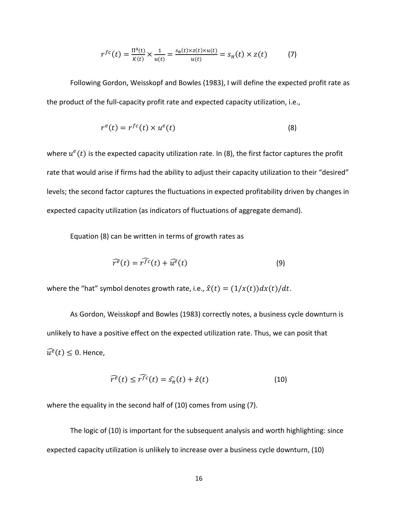$$
r^{fc}(t) = \frac{\Pi^{a}(t)}{K(t)} \times \frac{1}{u(t)} = \frac{s_{\pi}(t) \times z(t) \times u(t)}{u(t)} = s_{\pi}(t) \times z(t) \tag{7}
$$

Following Gordon, Weisskopf and Bowles (1983), I will define the expected profit rate as the product of the full-capacity profit rate and expected capacity utilization, i.e.,

$$
r^{e}(t) = r^{fc}(t) \times u^{e}(t)
$$
\n(8)

where  $u^e(t)$  is the expected capacity utilization rate. In (8), the first factor captures the profit rate that would arise if firms had the ability to adjust their capacity utilization to their "desired" levels; the second factor captures the fluctuations in expected profitability driven by changes in expected capacity utilization (as indicators of fluctuations of aggregate demand).

Equation (8) can be written in terms of growth rates as

$$
\widehat{r^e}(t) = \widehat{r^{fc}}(t) + \widehat{u^e}(t)
$$
\n(9)

where the "hat" symbol denotes growth rate, i.e.,  $\hat{x}(t) = (1/x(t))dx(t)/dt$ .

As Gordon, Weisskopf and Bowles (1983) correctly notes, a business cycle downturn is unlikely to have a positive effect on the expected utilization rate. Thus, we can posit that  $\widehat{u^e}(t) \leq 0$ . Hence,

$$
\widehat{r^e}(t) \le \widehat{r^{fc}}(t) = \widehat{s_{\pi}}(t) + \widehat{z}(t)
$$
\n(10)

where the equality in the second half of (10) comes from using (7).

The logic of (10) is important for the subsequent analysis and worth highlighting: since expected capacity utilization is unlikely to increase over a business cycle downturn, (10)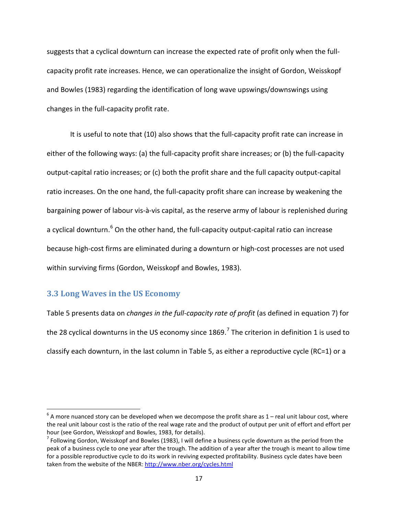suggests that a cyclical downturn can increase the expected rate of profit only when the fullcapacity profit rate increases. Hence, we can operationalize the insight of Gordon, Weisskopf and Bowles (1983) regarding the identification of long wave upswings/downswings using changes in the full-capacity profit rate.

It is useful to note that (10) also shows that the full-capacity profit rate can increase in either of the following ways: (a) the full-capacity profit share increases; or (b) the full-capacity output-capital ratio increases; or (c) both the profit share and the full capacity output-capital ratio increases. On the one hand, the full-capacity profit share can increase by weakening the bargaining power of labour vis-à-vis capital, as the reserve army of labour is replenished during a cyclical downturn. $6$  On the other hand, the full-capacity output-capital ratio can increase because high-cost firms are eliminated during a downturn or high-cost processes are not used within surviving firms (Gordon, Weisskopf and Bowles, 1983).

#### **3.3 Long Waves in the US Economy**

Table 5 presents data on *changes in the full-capacity rate of profit* (as defined in equation 7) for the 28 cyclical downturns in the US economy since  $1869<sup>7</sup>$  The criterion in definition 1 is used to classify each downturn, in the last column in Table 5, as either a reproductive cycle (RC=1) or a

 $6$  A more nuanced story can be developed when we decompose the profit share as 1 – real unit labour cost, where the real unit labour cost is the ratio of the real wage rate and the product of output per unit of effort and effort per hour (see Gordon, Weisskopf and Bowles, 1983, for details).<br><sup>7</sup> Following Gordon, Weisskopf and Bowles (1983), I will define a business cycle downturn as the period from the

peak of a business cycle to one year after the trough. The addition of a year after the trough is meant to allow time for a possible reproductive cycle to do its work in reviving expected profitability. Business cycle dates have been taken from the website of the NBER: http://www.nber.org/cycles.html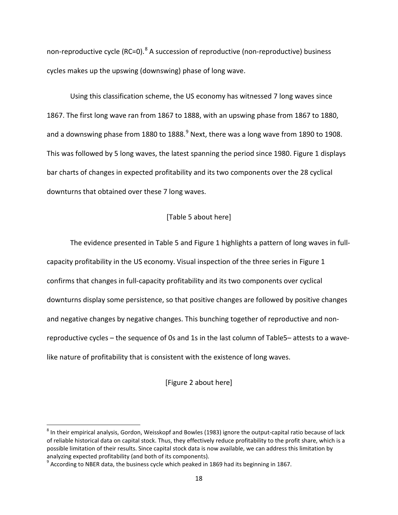non-reproductive cycle (RC=0).<sup>8</sup> A succession of reproductive (non-reproductive) business cycles makes up the upswing (downswing) phase of long wave.

Using this classification scheme, the US economy has witnessed 7 long waves since 1867. The first long wave ran from 1867 to 1888, with an upswing phase from 1867 to 1880, and a downswing phase from 1880 to 1888. $9$  Next, there was a long wave from 1890 to 1908. This was followed by 5 long waves, the latest spanning the period since 1980. Figure 1 displays bar charts of changes in expected profitability and its two components over the 28 cyclical downturns that obtained over these 7 long waves.

#### [Table 5 about here]

The evidence presented in Table 5 and Figure 1 highlights a pattern of long waves in fullcapacity profitability in the US economy. Visual inspection of the three series in Figure 1 confirms that changes in full-capacity profitability and its two components over cyclical downturns display some persistence, so that positive changes are followed by positive changes and negative changes by negative changes. This bunching together of reproductive and nonreproductive cycles – the sequence of 0s and 1s in the last column of Table5– attests to a wavelike nature of profitability that is consistent with the existence of long waves.

[Figure 2 about here]

 $8$  In their empirical analysis, Gordon, Weisskopf and Bowles (1983) ignore the output-capital ratio because of lack of reliable historical data on capital stock. Thus, they effectively reduce profitability to the profit share, which is a possible limitation of their results. Since capital stock data is now available, we can address this limitation by analyzing expected profitability (and both of its components).

 $^{9}$  According to NBER data, the business cycle which peaked in 1869 had its beginning in 1867.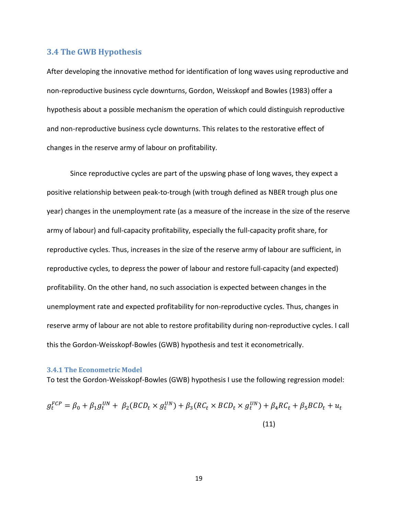#### **3.4 The GWB Hypothesis**

After developing the innovative method for identification of long waves using reproductive and non-reproductive business cycle downturns, Gordon, Weisskopf and Bowles (1983) offer a hypothesis about a possible mechanism the operation of which could distinguish reproductive and non-reproductive business cycle downturns. This relates to the restorative effect of changes in the reserve army of labour on profitability.

Since reproductive cycles are part of the upswing phase of long waves, they expect a positive relationship between peak-to-trough (with trough defined as NBER trough plus one year) changes in the unemployment rate (as a measure of the increase in the size of the reserve army of labour) and full-capacity profitability, especially the full-capacity profit share, for reproductive cycles. Thus, increases in the size of the reserve army of labour are sufficient, in reproductive cycles, to depress the power of labour and restore full-capacity (and expected) profitability. On the other hand, no such association is expected between changes in the unemployment rate and expected profitability for non-reproductive cycles. Thus, changes in reserve army of labour are not able to restore profitability during non-reproductive cycles. I call this the Gordon-Weisskopf-Bowles (GWB) hypothesis and test it econometrically.

#### **3.4.1 The Econometric Model**

To test the Gordon-Weisskopf-Bowles (GWB) hypothesis I use the following regression model:

$$
g_t^{FCP} = \beta_0 + \beta_1 g_t^{UN} + \beta_2 (BCD_t \times g_t^{UN}) + \beta_3 (RC_t \times BCD_t \times g_t^{UN}) + \beta_4 RC_t + \beta_5 BCD_t + u_t
$$
\n(11)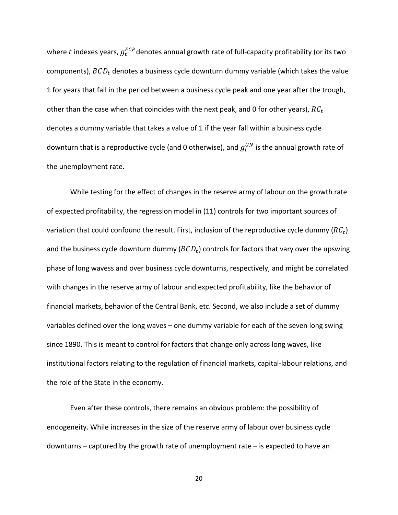where  $t$  indexes years,  $g_t^{FCP}$ denotes annual growth rate of full-capacity profitability (or its two components),  $BCD<sub>t</sub>$  denotes a business cycle downturn dummy variable (which takes the value 1 for years that fall in the period between a business cycle peak and one year after the trough, other than the case when that coincides with the next peak, and 0 for other years),  $RC_t$ denotes a dummy variable that takes a value of 1 if the year fall within a business cycle downturn that is a reproductive cycle (and 0 otherwise), and  $g_t^{UN}$  is the annual growth rate of the unemployment rate.

While testing for the effect of changes in the reserve army of labour on the growth rate of expected profitability, the regression model in (11) controls for two important sources of variation that could confound the result. First, inclusion of the reproductive cycle dummy  $(RC_t)$ and the business cycle downturn dummy  $(BCD<sub>t</sub>)$  controls for factors that vary over the upswing phase of long wavess and over business cycle downturns, respectively, and might be correlated with changes in the reserve army of labour and expected profitability, like the behavior of financial markets, behavior of the Central Bank, etc. Second, we also include a set of dummy variables defined over the long waves – one dummy variable for each of the seven long swing since 1890. This is meant to control for factors that change only across long waves, like institutional factors relating to the regulation of financial markets, capital-labour relations, and the role of the State in the economy.

Even after these controls, there remains an obvious problem: the possibility of endogeneity. While increases in the size of the reserve army of labour over business cycle downturns – captured by the growth rate of unemployment rate – is expected to have an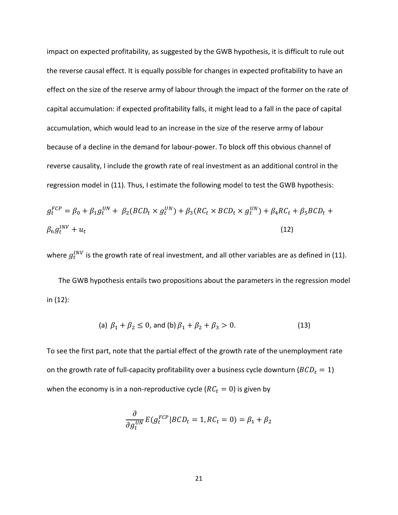impact on expected profitability, as suggested by the GWB hypothesis, it is difficult to rule out the reverse causal effect. It is equally possible for changes in expected profitability to have an effect on the size of the reserve army of labour through the impact of the former on the rate of capital accumulation: if expected profitability falls, it might lead to a fall in the pace of capital accumulation, which would lead to an increase in the size of the reserve army of labour because of a decline in the demand for labour-power. To block off this obvious channel of reverse causality, I include the growth rate of real investment as an additional control in the regression model in (11). Thus, I estimate the following model to test the GWB hypothesis:

$$
g_t^{FCP} = \beta_0 + \beta_1 g_t^{UN} + \beta_2 (BCD_t \times g_t^{UN}) + \beta_3 (RC_t \times BCD_t \times g_t^{UN}) + \beta_4 RC_t + \beta_5 BCD_t + \beta_6 g_t^{INV} + u_t
$$
\n(12)

where  $g_t^{INV}$  is the growth rate of real investment, and all other variables are as defined in (11).

The GWB hypothesis entails two propositions about the parameters in the regression model in (12):

(a) 
$$
\beta_1 + \beta_2 \le 0
$$
, and (b)  $\beta_1 + \beta_2 + \beta_3 > 0$ . (13)

To see the first part, note that the partial effect of the growth rate of the unemployment rate on the growth rate of full-capacity profitability over a business cycle downturn ( $BCD_t = 1$ ) when the economy is in a non-reproductive cycle ( $RC<sub>t</sub> = 0$ ) is given by

$$
\frac{\partial}{\partial g_t^{UN}} E(g_t^{FCP} | BCD_t = 1, RC_t = 0) = \beta_1 + \beta_2
$$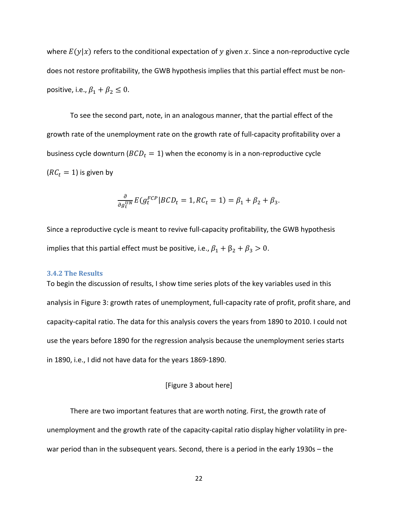where  $E(y|x)$  refers to the conditional expectation of y given x. Since a non-reproductive cycle does not restore profitability, the GWB hypothesis implies that this partial effect must be nonpositive, i.e.,  $\beta_1 + \beta_2 \leq 0$ .

To see the second part, note, in an analogous manner, that the partial effect of the growth rate of the unemployment rate on the growth rate of full-capacity profitability over a business cycle downturn ( $BCD_t = 1$ ) when the economy is in a non-reproductive cycle  $(RC_t = 1)$  is given by

$$
\frac{\partial}{\partial g_t^{UN}} E(g_t^{FCP} | BCD_t = 1, RC_t = 1) = \beta_1 + \beta_2 + \beta_3.
$$

Since a reproductive cycle is meant to revive full-capacity profitability, the GWB hypothesis implies that this partial effect must be positive, i.e.,  $\beta_1 + \beta_2 + \beta_3 > 0$ .

#### **3.4.2 The Results**

To begin the discussion of results, I show time series plots of the key variables used in this analysis in Figure 3: growth rates of unemployment, full-capacity rate of profit, profit share, and capacity-capital ratio. The data for this analysis covers the years from 1890 to 2010. I could not use the years before 1890 for the regression analysis because the unemployment series starts in 1890, i.e., I did not have data for the years 1869-1890.

#### [Figure 3 about here]

There are two important features that are worth noting. First, the growth rate of unemployment and the growth rate of the capacity-capital ratio display higher volatility in prewar period than in the subsequent years. Second, there is a period in the early 1930s – the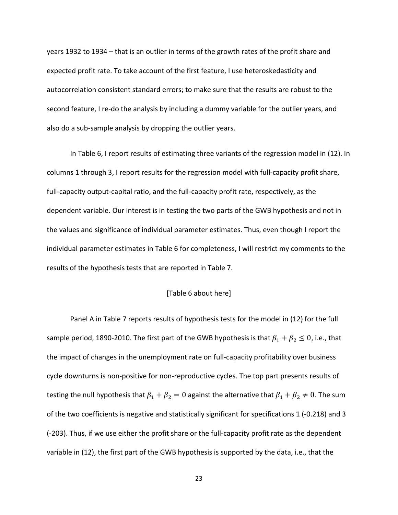years 1932 to 1934 – that is an outlier in terms of the growth rates of the profit share and expected profit rate. To take account of the first feature, I use heteroskedasticity and autocorrelation consistent standard errors; to make sure that the results are robust to the second feature, I re-do the analysis by including a dummy variable for the outlier years, and also do a sub-sample analysis by dropping the outlier years.

In Table 6, I report results of estimating three variants of the regression model in (12). In columns 1 through 3, I report results for the regression model with full-capacity profit share, full-capacity output-capital ratio, and the full-capacity profit rate, respectively, as the dependent variable. Our interest is in testing the two parts of the GWB hypothesis and not in the values and significance of individual parameter estimates. Thus, even though I report the individual parameter estimates in Table 6 for completeness, I will restrict my comments to the results of the hypothesis tests that are reported in Table 7.

#### [Table 6 about here]

Panel A in Table 7 reports results of hypothesis tests for the model in (12) for the full sample period, 1890-2010. The first part of the GWB hypothesis is that  $\beta_1 + \beta_2 \leq 0$ , i.e., that the impact of changes in the unemployment rate on full-capacity profitability over business cycle downturns is non-positive for non-reproductive cycles. The top part presents results of testing the null hypothesis that  $\beta_1 + \beta_2 = 0$  against the alternative that  $\beta_1 + \beta_2 \neq 0$ . The sum of the two coefficients is negative and statistically significant for specifications 1 (-0.218) and 3 (-203). Thus, if we use either the profit share or the full-capacity profit rate as the dependent variable in (12), the first part of the GWB hypothesis is supported by the data, i.e., that the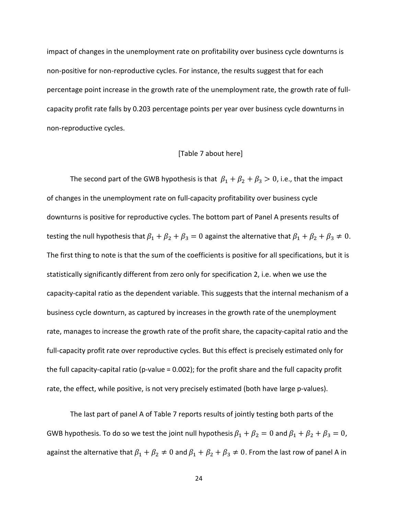impact of changes in the unemployment rate on profitability over business cycle downturns is non-positive for non-reproductive cycles. For instance, the results suggest that for each percentage point increase in the growth rate of the unemployment rate, the growth rate of fullcapacity profit rate falls by 0.203 percentage points per year over business cycle downturns in non-reproductive cycles.

#### [Table 7 about here]

The second part of the GWB hypothesis is that  $\beta_1 + \beta_2 + \beta_3 > 0$ , i.e., that the impact of changes in the unemployment rate on full-capacity profitability over business cycle downturns is positive for reproductive cycles. The bottom part of Panel A presents results of testing the null hypothesis that  $\beta_1 + \beta_2 + \beta_3 = 0$  against the alternative that  $\beta_1 + \beta_2 + \beta_3 \neq 0$ . The first thing to note is that the sum of the coefficients is positive for all specifications, but it is statistically significantly different from zero only for specification 2, i.e. when we use the capacity-capital ratio as the dependent variable. This suggests that the internal mechanism of a business cycle downturn, as captured by increases in the growth rate of the unemployment rate, manages to increase the growth rate of the profit share, the capacity-capital ratio and the full-capacity profit rate over reproductive cycles. But this effect is precisely estimated only for the full capacity-capital ratio (p-value = 0.002); for the profit share and the full capacity profit rate, the effect, while positive, is not very precisely estimated (both have large p-values).

The last part of panel A of Table 7 reports results of jointly testing both parts of the GWB hypothesis. To do so we test the joint null hypothesis  $\beta_1 + \beta_2 = 0$  and  $\beta_1 + \beta_2 + \beta_3 = 0$ , against the alternative that  $\beta_1 + \beta_2 \neq 0$  and  $\beta_1 + \beta_2 + \beta_3 \neq 0$ . From the last row of panel A in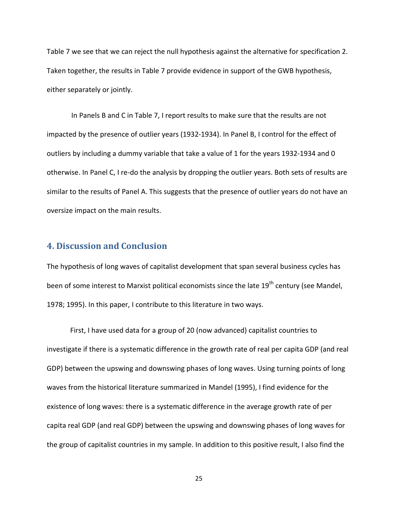Table 7 we see that we can reject the null hypothesis against the alternative for specification 2. Taken together, the results in Table 7 provide evidence in support of the GWB hypothesis, either separately or jointly.

In Panels B and C in Table 7, I report results to make sure that the results are not impacted by the presence of outlier years (1932-1934). In Panel B, I control for the effect of outliers by including a dummy variable that take a value of 1 for the years 1932-1934 and 0 otherwise. In Panel C, I re-do the analysis by dropping the outlier years. Both sets of results are similar to the results of Panel A. This suggests that the presence of outlier years do not have an oversize impact on the main results.

#### **4. Discussion and Conclusion**

The hypothesis of long waves of capitalist development that span several business cycles has been of some interest to Marxist political economists since the late 19<sup>th</sup> century (see Mandel, 1978; 1995). In this paper, I contribute to this literature in two ways.

First, I have used data for a group of 20 (now advanced) capitalist countries to investigate if there is a systematic difference in the growth rate of real per capita GDP (and real GDP) between the upswing and downswing phases of long waves. Using turning points of long waves from the historical literature summarized in Mandel (1995), I find evidence for the existence of long waves: there is a systematic difference in the average growth rate of per capita real GDP (and real GDP) between the upswing and downswing phases of long waves for the group of capitalist countries in my sample. In addition to this positive result, I also find the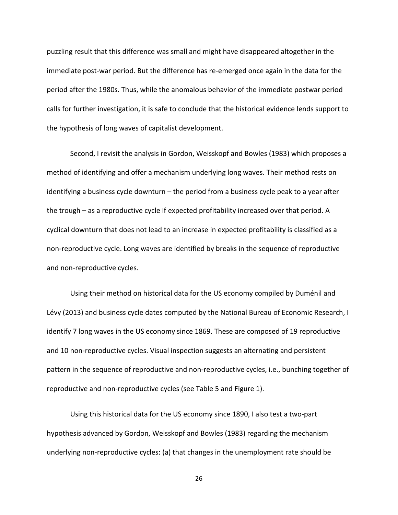puzzling result that this difference was small and might have disappeared altogether in the immediate post-war period. But the difference has re-emerged once again in the data for the period after the 1980s. Thus, while the anomalous behavior of the immediate postwar period calls for further investigation, it is safe to conclude that the historical evidence lends support to the hypothesis of long waves of capitalist development.

Second, I revisit the analysis in Gordon, Weisskopf and Bowles (1983) which proposes a method of identifying and offer a mechanism underlying long waves. Their method rests on identifying a business cycle downturn – the period from a business cycle peak to a year after the trough – as a reproductive cycle if expected profitability increased over that period. A cyclical downturn that does not lead to an increase in expected profitability is classified as a non-reproductive cycle. Long waves are identified by breaks in the sequence of reproductive and non-reproductive cycles.

Using their method on historical data for the US economy compiled by Duménil and Lévy (2013) and business cycle dates computed by the National Bureau of Economic Research, I identify 7 long waves in the US economy since 1869. These are composed of 19 reproductive and 10 non-reproductive cycles. Visual inspection suggests an alternating and persistent pattern in the sequence of reproductive and non-reproductive cycles, i.e., bunching together of reproductive and non-reproductive cycles (see Table 5 and Figure 1).

Using this historical data for the US economy since 1890, I also test a two-part hypothesis advanced by Gordon, Weisskopf and Bowles (1983) regarding the mechanism underlying non-reproductive cycles: (a) that changes in the unemployment rate should be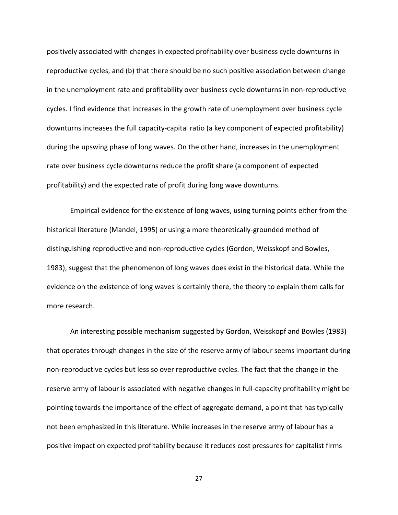positively associated with changes in expected profitability over business cycle downturns in reproductive cycles, and (b) that there should be no such positive association between change in the unemployment rate and profitability over business cycle downturns in non-reproductive cycles. I find evidence that increases in the growth rate of unemployment over business cycle downturns increases the full capacity-capital ratio (a key component of expected profitability) during the upswing phase of long waves. On the other hand, increases in the unemployment rate over business cycle downturns reduce the profit share (a component of expected profitability) and the expected rate of profit during long wave downturns.

Empirical evidence for the existence of long waves, using turning points either from the historical literature (Mandel, 1995) or using a more theoretically-grounded method of distinguishing reproductive and non-reproductive cycles (Gordon, Weisskopf and Bowles, 1983), suggest that the phenomenon of long waves does exist in the historical data. While the evidence on the existence of long waves is certainly there, the theory to explain them calls for more research.

An interesting possible mechanism suggested by Gordon, Weisskopf and Bowles (1983) that operates through changes in the size of the reserve army of labour seems important during non-reproductive cycles but less so over reproductive cycles. The fact that the change in the reserve army of labour is associated with negative changes in full-capacity profitability might be pointing towards the importance of the effect of aggregate demand, a point that has typically not been emphasized in this literature. While increases in the reserve army of labour has a positive impact on expected profitability because it reduces cost pressures for capitalist firms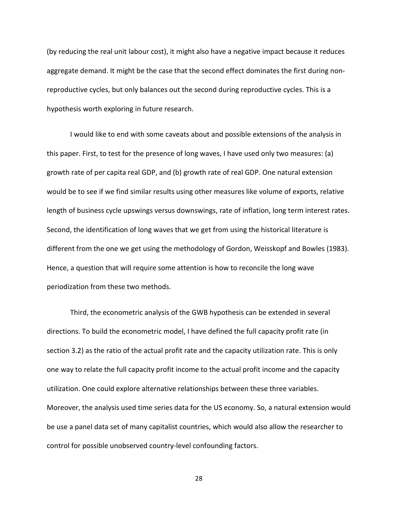(by reducing the real unit labour cost), it might also have a negative impact because it reduces aggregate demand. It might be the case that the second effect dominates the first during nonreproductive cycles, but only balances out the second during reproductive cycles. This is a hypothesis worth exploring in future research.

I would like to end with some caveats about and possible extensions of the analysis in this paper. First, to test for the presence of long waves, I have used only two measures: (a) growth rate of per capita real GDP, and (b) growth rate of real GDP. One natural extension would be to see if we find similar results using other measures like volume of exports, relative length of business cycle upswings versus downswings, rate of inflation, long term interest rates. Second, the identification of long waves that we get from using the historical literature is different from the one we get using the methodology of Gordon, Weisskopf and Bowles (1983). Hence, a question that will require some attention is how to reconcile the long wave periodization from these two methods.

Third, the econometric analysis of the GWB hypothesis can be extended in several directions. To build the econometric model, I have defined the full capacity profit rate (in section 3.2) as the ratio of the actual profit rate and the capacity utilization rate. This is only one way to relate the full capacity profit income to the actual profit income and the capacity utilization. One could explore alternative relationships between these three variables. Moreover, the analysis used time series data for the US economy. So, a natural extension would be use a panel data set of many capitalist countries, which would also allow the researcher to control for possible unobserved country-level confounding factors.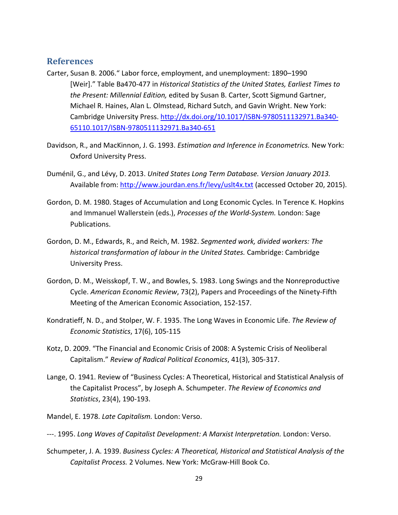#### **References**

- Carter, Susan B. 2006." Labor force, employment, and unemployment: 1890–1990 [Weir]." Table Ba470-477 in *Historical Statistics of the United States, Earliest Times to the Present: Millennial Edition,* edited by Susan B. Carter, Scott Sigmund Gartner, Michael R. Haines, Alan L. Olmstead, Richard Sutch, and Gavin Wright. New York: Cambridge University Press. http://dx.doi.org/10.1017/ISBN-9780511132971.Ba340-65110.1017/ISBN-9780511132971.Ba340-651
- Davidson, R., and MacKinnon, J. G. 1993. *Estimation and Inference in Econometrics.* New York: Oxford University Press.
- Duménil, G., and Lévy, D. 2013. *United States Long Term Database. Version January 2013.* Available from: http://www.jourdan.ens.fr/levy/uslt4x.txt (accessed October 20, 2015).
- Gordon, D. M. 1980. Stages of Accumulation and Long Economic Cycles. In Terence K. Hopkins and Immanuel Wallerstein (eds.), *Processes of the World-System.* London: Sage Publications.
- Gordon, D. M., Edwards, R., and Reich, M. 1982. *Segmented work, divided workers: The historical transformation of labour in the United States.* Cambridge: Cambridge University Press.
- Gordon, D. M., Weisskopf, T. W., and Bowles, S. 1983. Long Swings and the Nonreproductive Cycle. *American Economic Review*, 73(2), Papers and Proceedings of the Ninety-Fifth Meeting of the American Economic Association, 152-157.
- Kondratieff, N. D., and Stolper, W. F. 1935. The Long Waves in Economic Life. *The Review of Economic Statistics*, 17(6), 105-115
- Kotz, D. 2009. "The Financial and Economic Crisis of 2008: A Systemic Crisis of Neoliberal Capitalism." *Review of Radical Political Economics*, 41(3), 305-317.
- Lange, O. 1941. Review of "Business Cycles: A Theoretical, Historical and Statistical Analysis of the Capitalist Process", by Joseph A. Schumpeter. *The Review of Economics and Statistics*, 23(4), 190-193.
- Mandel, E. 1978. *Late Capitalism.* London: Verso.
- ---. 1995. *Long Waves of Capitalist Development: A Marxist Interpretation.* London: Verso.
- Schumpeter, J. A. 1939. *Business Cycles: A Theoretical, Historical and Statistical Analysis of the Capitalist Process.* 2 Volumes. New York: McGraw-Hill Book Co.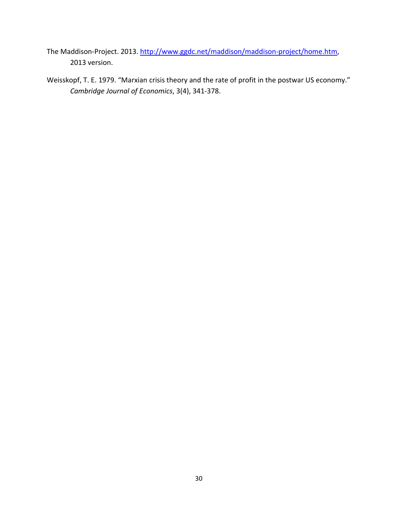- The Maddison-Project. 2013. http://www.ggdc.net/maddison/maddison-project/home.htm, 2013 version.
- Weisskopf, T. E. 1979. "Marxian crisis theory and the rate of profit in the postwar US economy." *Cambridge Journal of Economics*, 3(4), 341-378.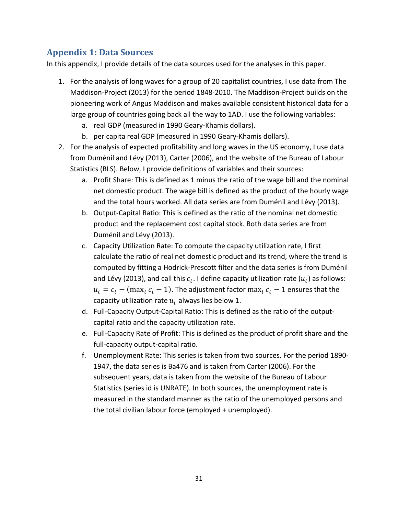# **Appendix 1: Data Sources**

In this appendix, I provide details of the data sources used for the analyses in this paper.

- 1. For the analysis of long waves for a group of 20 capitalist countries, I use data from The Maddison-Project (2013) for the period 1848-2010. The Maddison-Project builds on the pioneering work of Angus Maddison and makes available consistent historical data for a large group of countries going back all the way to 1AD. I use the following variables:
	- a. real GDP (measured in 1990 Geary-Khamis dollars).
	- b. per capita real GDP (measured in 1990 Geary-Khamis dollars).
- 2. For the analysis of expected profitability and long waves in the US economy, I use data from Duménil and Lévy (2013), Carter (2006), and the website of the Bureau of Labour Statistics (BLS). Below, I provide definitions of variables and their sources:
	- a. Profit Share: This is defined as 1 minus the ratio of the wage bill and the nominal net domestic product. The wage bill is defined as the product of the hourly wage and the total hours worked. All data series are from Duménil and Lévy (2013).
	- b. Output-Capital Ratio: This is defined as the ratio of the nominal net domestic product and the replacement cost capital stock. Both data series are from Duménil and Lévy (2013).
	- c. Capacity Utilization Rate: To compute the capacity utilization rate, I first calculate the ratio of real net domestic product and its trend, where the trend is computed by fitting a Hodrick-Prescott filter and the data series is from Duménil and Lévy (2013), and call this  $c_t$ . I define capacity utilization rate  $(u_t)$  as follows:  $u_t = c_t - (max_t c_t - 1)$ . The adjustment factor max $c_t - 1$  ensures that the capacity utilization rate  $u_t$  always lies below 1.
	- d. Full-Capacity Output-Capital Ratio: This is defined as the ratio of the outputcapital ratio and the capacity utilization rate.
	- e. Full-Capacity Rate of Profit: This is defined as the product of profit share and the full-capacity output-capital ratio.
	- f. Unemployment Rate: This series is taken from two sources. For the period 1890- 1947, the data series is Ba476 and is taken from Carter (2006). For the subsequent years, data is taken from the website of the Bureau of Labour Statistics (series id is UNRATE). In both sources, the unemployment rate is measured in the standard manner as the ratio of the unemployed persons and the total civilian labour force (employed + unemployed).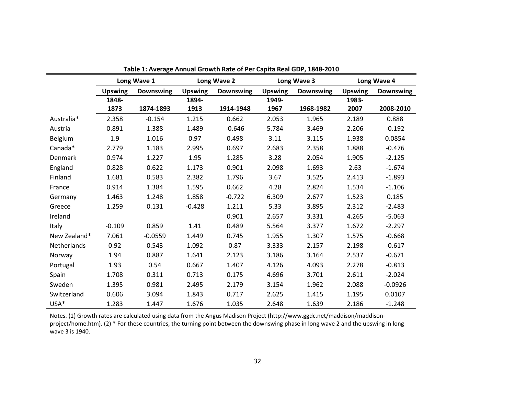|                    | Long Wave 1    |                  | <b>Long Wave 2</b> |                  | Long Wave 3    |                  | Long Wave 4    |                  |
|--------------------|----------------|------------------|--------------------|------------------|----------------|------------------|----------------|------------------|
|                    | <b>Upswing</b> | <b>Downswing</b> | <b>Upswing</b>     | <b>Downswing</b> | <b>Upswing</b> | <b>Downswing</b> | <b>Upswing</b> | <b>Downswing</b> |
|                    | 1848-          |                  | 1894-              |                  | 1949-          |                  | 1983-          |                  |
|                    | 1873           | 1874-1893        | 1913               | 1914-1948        | 1967           | 1968-1982        | 2007           | 2008-2010        |
| Australia*         | 2.358          | $-0.154$         | 1.215              | 0.662            | 2.053          | 1.965            | 2.189          | 0.888            |
| Austria            | 0.891          | 1.388            | 1.489              | $-0.646$         | 5.784          | 3.469            | 2.206          | $-0.192$         |
| Belgium            | 1.9            | 1.016            | 0.97               | 0.498            | 3.11           | 3.115            | 1.938          | 0.0854           |
| Canada*            | 2.779          | 1.183            | 2.995              | 0.697            | 2.683          | 2.358            | 1.888          | $-0.476$         |
| <b>Denmark</b>     | 0.974          | 1.227            | 1.95               | 1.285            | 3.28           | 2.054            | 1.905          | $-2.125$         |
| England            | 0.828          | 0.622            | 1.173              | 0.901            | 2.098          | 1.693            | 2.63           | $-1.674$         |
| Finland            | 1.681          | 0.583            | 2.382              | 1.796            | 3.67           | 3.525            | 2.413          | $-1.893$         |
| France             | 0.914          | 1.384            | 1.595              | 0.662            | 4.28           | 2.824            | 1.534          | $-1.106$         |
| Germany            | 1.463          | 1.248            | 1.858              | $-0.722$         | 6.309          | 2.677            | 1.523          | 0.185            |
| Greece             | 1.259          | 0.131            | $-0.428$           | 1.211            | 5.33           | 3.895            | 2.312          | $-2.483$         |
| Ireland            |                |                  |                    | 0.901            | 2.657          | 3.331            | 4.265          | $-5.063$         |
| Italy              | $-0.109$       | 0.859            | 1.41               | 0.489            | 5.564          | 3.377            | 1.672          | $-2.297$         |
| New Zealand*       | 7.061          | $-0.0559$        | 1.449              | 0.745            | 1.955          | 1.307            | 1.575          | $-0.668$         |
| <b>Netherlands</b> | 0.92           | 0.543            | 1.092              | 0.87             | 3.333          | 2.157            | 2.198          | $-0.617$         |
| Norway             | 1.94           | 0.887            | 1.641              | 2.123            | 3.186          | 3.164            | 2.537          | $-0.671$         |
| Portugal           | 1.93           | 0.54             | 0.667              | 1.407            | 4.126          | 4.093            | 2.278          | $-0.813$         |
| Spain              | 1.708          | 0.311            | 0.713              | 0.175            | 4.696          | 3.701            | 2.611          | $-2.024$         |
| Sweden             | 1.395          | 0.981            | 2.495              | 2.179            | 3.154          | 1.962            | 2.088          | $-0.0926$        |
| Switzerland        | 0.606          | 3.094            | 1.843              | 0.717            | 2.625          | 1.415            | 1.195          | 0.0107           |
| USA*               | 1.283          | 1.447            | 1.676              | 1.035            | 2.648          | 1.639            | 2.186          | $-1.248$         |

**Table 1: Average Annual Growth Rate of Per Capita Real GDP, 1848-2010**

Notes. (1) Growth rates are calculated using data from the Angus Madison Project (http://www.ggdc.net/maddison/maddisonproject/home.htm). (2) \* For these countries, the turning point between the downswing phase in long wave 2 and the upswing in long wave 3 is 1940.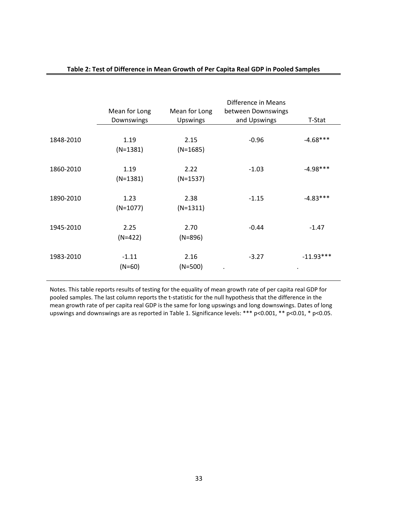|           | Mean for Long<br>Downswings | Mean for Long<br>Upswings | Difference in Means<br>between Downswings<br>and Upswings | T-Stat      |
|-----------|-----------------------------|---------------------------|-----------------------------------------------------------|-------------|
| 1848-2010 | 1.19<br>$(N=1381)$          | 2.15<br>$(N=1685)$        | $-0.96$                                                   | $-4.68***$  |
| 1860-2010 | 1.19<br>$(N=1381)$          | 2.22<br>$(N=1537)$        | $-1.03$                                                   | $-4.98***$  |
| 1890-2010 | 1.23<br>$(N=1077)$          | 2.38<br>$(N=1311)$        | $-1.15$                                                   | $-4.83***$  |
| 1945-2010 | 2.25<br>$(N=422)$           | 2.70<br>$(N=896)$         | $-0.44$                                                   | $-1.47$     |
| 1983-2010 | $-1.11$<br>$(N=60)$         | 2.16<br>$(N=500)$         | $-3.27$                                                   | $-11.93***$ |

#### **Table 2: Test of Difference in Mean Growth of Per Capita Real GDP in Pooled Samples**

Notes. This table reports results of testing for the equality of mean growth rate of per capita real GDP for pooled samples. The last column reports the t-statistic for the null hypothesis that the difference in the mean growth rate of per capita real GDP is the same for long upswings and long downswings. Dates of long upswings and downswings are as reported in Table 1. Significance levels: \*\*\* p<0.001, \*\* p<0.01, \* p<0.05.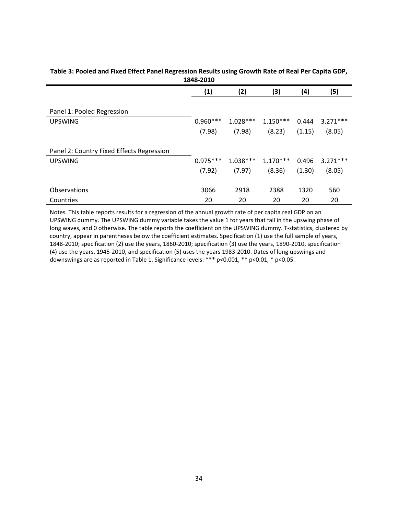|                                           | TOTO-TATA         |            |            |        |            |
|-------------------------------------------|-------------------|------------|------------|--------|------------|
|                                           | $\left( 1\right)$ | (2)        | (3)        | (4)    | (5)        |
|                                           |                   |            |            |        |            |
| Panel 1: Pooled Regression                |                   |            |            |        |            |
| <b>UPSWING</b>                            | $0.960***$        | $1.028***$ | $1.150***$ | 0.444  | $3.271***$ |
|                                           | (7.98)            | (7.98)     | (8.23)     | (1.15) | (8.05)     |
| Panel 2: Country Fixed Effects Regression |                   |            |            |        |            |
| <b>UPSWING</b>                            | $0.975***$        | $1.038***$ | $1.170***$ | 0.496  | $3.271***$ |
|                                           | (7.92)            | (7.97)     | (8.36)     | (1.30) | (8.05)     |
| <b>Observations</b>                       | 3066              | 2918       | 2388       | 1320   | 560        |
| Countries                                 | 20                | 20         | 20         | 20     | 20         |

#### **Table 3: Pooled and Fixed Effect Panel Regression Results using Growth Rate of Real Per Capita GDP, 1848-2010**

Notes. This table reports results for a regression of the annual growth rate of per capita real GDP on an UPSWING dummy. The UPSWING dummy variable takes the value 1 for years that fall in the upswing phase of long waves, and 0 otherwise. The table reports the coefficient on the UPSWING dummy. T-statistics, clustered by country, appear in parentheses below the coefficient estimates. Specification (1) use the full sample of years, 1848-2010; specification (2) use the years, 1860-2010; specification (3) use the years, 1890-2010, specification (4) use the years, 1945-2010, and specification (5) uses the years 1983-2010. Dates of long upswings and downswings are as reported in Table 1. Significance levels: \*\*\* p<0.001, \*\* p<0.01, \* p<0.05.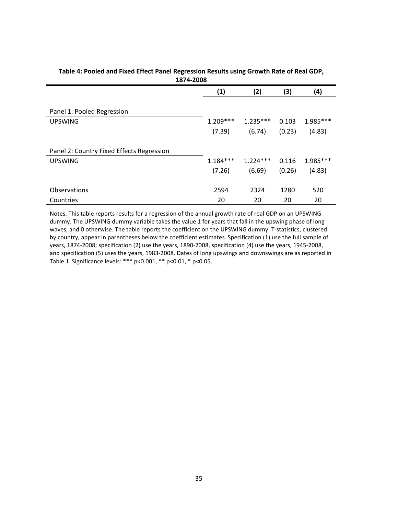| ----------                                |                      |                      |                 |                    |
|-------------------------------------------|----------------------|----------------------|-----------------|--------------------|
|                                           | (1)                  | (2)                  | (3)             | (4)                |
| Panel 1: Pooled Regression                |                      |                      |                 |                    |
| <b>UPSWING</b>                            | $1.209***$<br>(7.39) | $1.235***$<br>(6.74) | 0.103<br>(0.23) | 1.985***<br>(4.83) |
| Panel 2: Country Fixed Effects Regression |                      |                      |                 |                    |
| <b>UPSWING</b>                            | $1.184***$           | $1.224***$           | 0.116           | 1.985***           |
|                                           | (7.26)               | (6.69)               | (0.26)          | (4.83)             |
| <b>Observations</b>                       | 2594                 | 2324                 | 1280            | 520                |
| Countries                                 | 20                   | 20                   | 20              | 20                 |

#### **Table 4: Pooled and Fixed Effect Panel Regression Results using Growth Rate of Real GDP, 1874-2008**

Notes. This table reports results for a regression of the annual growth rate of real GDP on an UPSWING dummy. The UPSWING dummy variable takes the value 1 for years that fall in the upswing phase of long waves, and 0 otherwise. The table reports the coefficient on the UPSWING dummy. T-statistics, clustered by country, appear in parentheses below the coefficient estimates. Specification (1) use the full sample of years, 1874-2008; specification (2) use the years, 1890-2008, specification (4) use the years, 1945-2008, and specification (5) uses the years, 1983-2008. Dates of long upswings and downswings are as reported in Table 1. Significance levels: \*\*\* p<0.001, \*\* p<0.01, \* p<0.05.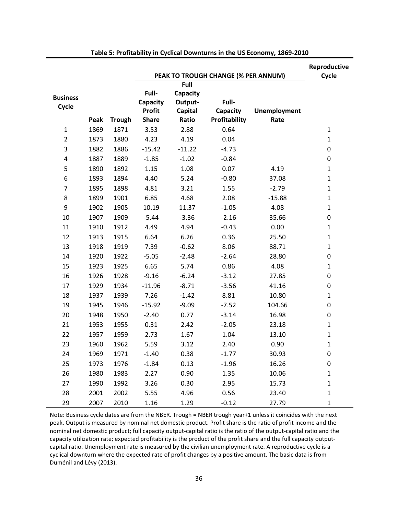|                          |      |               |                                                    |                                         |                                     |                             | Reproductive |
|--------------------------|------|---------------|----------------------------------------------------|-----------------------------------------|-------------------------------------|-----------------------------|--------------|
|                          |      |               |                                                    | Full                                    | PEAK TO TROUGH CHANGE (% PER ANNUM) |                             | Cycle        |
| <b>Business</b><br>Cycle | Peak | <b>Trough</b> | Full-<br>Capacity<br><b>Profit</b><br><b>Share</b> | Capacity<br>Output-<br>Capital<br>Ratio | Full-<br>Capacity<br>Profitability  | <b>Unemployment</b><br>Rate |              |
| $\mathbf{1}$             | 1869 | 1871          | 3.53                                               | 2.88                                    | 0.64                                |                             | $\mathbf{1}$ |
| $\overline{2}$           | 1873 | 1880          | 4.23                                               | 4.19                                    | 0.04                                |                             | $\mathbf{1}$ |
| 3                        | 1882 | 1886          | $-15.42$                                           | $-11.22$                                | $-4.73$                             |                             | $\pmb{0}$    |
| $\pmb{4}$                | 1887 | 1889          | $-1.85$                                            | $-1.02$                                 | $-0.84$                             |                             | $\pmb{0}$    |
| 5                        | 1890 | 1892          | 1.15                                               | 1.08                                    | 0.07                                | 4.19                        | $\mathbf{1}$ |
| 6                        | 1893 | 1894          | 4.40                                               | 5.24                                    | $-0.80$                             | 37.08                       | $\mathbf{1}$ |
| $\overline{7}$           | 1895 | 1898          | 4.81                                               | 3.21                                    | 1.55                                | $-2.79$                     | $\mathbf{1}$ |
| 8                        | 1899 | 1901          | 6.85                                               | 4.68                                    | 2.08                                | $-15.88$                    | $\mathbf{1}$ |
| 9                        | 1902 | 1905          | 10.19                                              | 11.37                                   | $-1.05$                             | 4.08                        | $\mathbf{1}$ |
| 10                       | 1907 | 1909          | $-5.44$                                            | $-3.36$                                 | $-2.16$                             | 35.66                       | 0            |
| 11                       | 1910 | 1912          | 4.49                                               | 4.94                                    | $-0.43$                             | 0.00                        | $\mathbf{1}$ |
| 12                       | 1913 | 1915          | 6.64                                               | 6.26                                    | 0.36                                | 25.50                       | $\mathbf{1}$ |
| 13                       | 1918 | 1919          | 7.39                                               | $-0.62$                                 | 8.06                                | 88.71                       | $\mathbf{1}$ |
| 14                       | 1920 | 1922          | $-5.05$                                            | $-2.48$                                 | $-2.64$                             | 28.80                       | 0            |
| 15                       | 1923 | 1925          | 6.65                                               | 5.74                                    | 0.86                                | 4.08                        | $\mathbf{1}$ |
| 16                       | 1926 | 1928          | $-9.16$                                            | $-6.24$                                 | $-3.12$                             | 27.85                       | 0            |
| 17                       | 1929 | 1934          | $-11.96$                                           | $-8.71$                                 | $-3.56$                             | 41.16                       | $\pmb{0}$    |
| 18                       | 1937 | 1939          | 7.26                                               | $-1.42$                                 | 8.81                                | 10.80                       | $\mathbf{1}$ |
| 19                       | 1945 | 1946          | $-15.92$                                           | $-9.09$                                 | $-7.52$                             | 104.66                      | $\pmb{0}$    |
| 20                       | 1948 | 1950          | $-2.40$                                            | 0.77                                    | $-3.14$                             | 16.98                       | $\pmb{0}$    |
| 21                       | 1953 | 1955          | 0.31                                               | 2.42                                    | $-2.05$                             | 23.18                       | $\mathbf{1}$ |
| 22                       | 1957 | 1959          | 2.73                                               | 1.67                                    | 1.04                                | 13.10                       | $\mathbf{1}$ |
| 23                       | 1960 | 1962          | 5.59                                               | 3.12                                    | 2.40                                | 0.90                        | $\mathbf{1}$ |
| 24                       | 1969 | 1971          | $-1.40$                                            | 0.38                                    | $-1.77$                             | 30.93                       | 0            |
| 25                       | 1973 | 1976          | $-1.84$                                            | 0.13                                    | $-1.96$                             | 16.26                       | 0            |
| 26                       | 1980 | 1983          | 2.27                                               | 0.90                                    | 1.35                                | 10.06                       | $\mathbf{1}$ |
| 27                       | 1990 | 1992          | 3.26                                               | 0.30                                    | 2.95                                | 15.73                       | $\mathbf{1}$ |
| 28                       | 2001 | 2002          | 5.55                                               | 4.96                                    | 0.56                                | 23.40                       | $\mathbf{1}$ |
| 29                       | 2007 | 2010          | 1.16                                               | 1.29                                    | $-0.12$                             | 27.79                       | $\mathbf{1}$ |

**Table 5: Profitability in Cyclical Downturns in the US Economy, 1869-2010**

Note: Business cycle dates are from the NBER. Trough = NBER trough year+1 unless it coincides with the next peak. Output is measured by nominal net domestic product. Profit share is the ratio of profit income and the nominal net domestic product; full capacity output-capital ratio is the ratio of the output-capital ratio and the capacity utilization rate; expected profitability is the product of the profit share and the full capacity outputcapital ratio. Unemployment rate is measured by the civilian unemployment rate. A reproductive cycle is a cyclical downturn where the expected rate of profit changes by a positive amount. The basic data is from Duménil and Lévy (2013).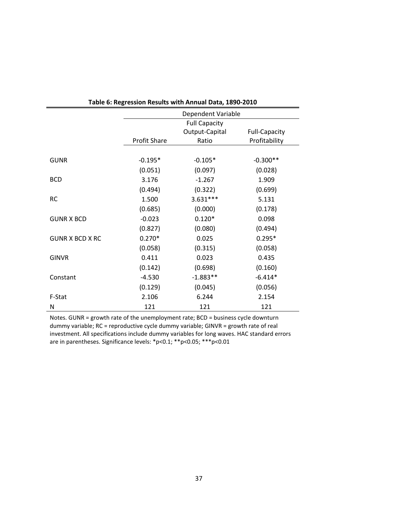| rapic 0. ncgrcssion ncsults with Annual Data, 1090-2010 |                      |                |                      |  |  |  |  |
|---------------------------------------------------------|----------------------|----------------|----------------------|--|--|--|--|
|                                                         | Dependent Variable   |                |                      |  |  |  |  |
|                                                         | <b>Full Capacity</b> |                |                      |  |  |  |  |
|                                                         |                      | Output-Capital | <b>Full-Capacity</b> |  |  |  |  |
|                                                         | <b>Profit Share</b>  | Ratio          | Profitability        |  |  |  |  |
|                                                         |                      |                |                      |  |  |  |  |
| <b>GUNR</b>                                             | $-0.195*$            | $-0.105*$      | $-0.300**$           |  |  |  |  |
|                                                         | (0.051)              | (0.097)        | (0.028)              |  |  |  |  |
| <b>BCD</b>                                              | 3.176                | $-1.267$       | 1.909                |  |  |  |  |
|                                                         | (0.494)              | (0.322)        | (0.699)              |  |  |  |  |
| <b>RC</b>                                               | 1.500                | $3.631***$     | 5.131                |  |  |  |  |
|                                                         | (0.685)              | (0.000)        | (0.178)              |  |  |  |  |
| <b>GUNR X BCD</b>                                       | $-0.023$             | $0.120*$       | 0.098                |  |  |  |  |
|                                                         | (0.827)              | (0.080)        | (0.494)              |  |  |  |  |
| <b>GUNR X BCD X RC</b>                                  | $0.270*$             | 0.025          | $0.295*$             |  |  |  |  |
|                                                         | (0.058)              | (0.315)        | (0.058)              |  |  |  |  |
| <b>GINVR</b>                                            | 0.411                | 0.023          | 0.435                |  |  |  |  |
|                                                         | (0.142)              | (0.698)        | (0.160)              |  |  |  |  |
| Constant                                                | $-4.530$             | $-1.883**$     | $-6.414*$            |  |  |  |  |
|                                                         | (0.129)              | (0.045)        | (0.056)              |  |  |  |  |
| F-Stat                                                  | 2.106                | 6.244          | 2.154                |  |  |  |  |
| N                                                       | 121                  | 121            | 121                  |  |  |  |  |

Notes. GUNR = growth rate of the unemployment rate; BCD = business cycle downturn dummy variable; RC = reproductive cycle dummy variable; GINVR = growth rate of real investment. All specifications include dummy variables for long waves. HAC standard errors are in parentheses. Significance levels: \*p<0.1; \*\*p<0.05; \*\*\*p<0.01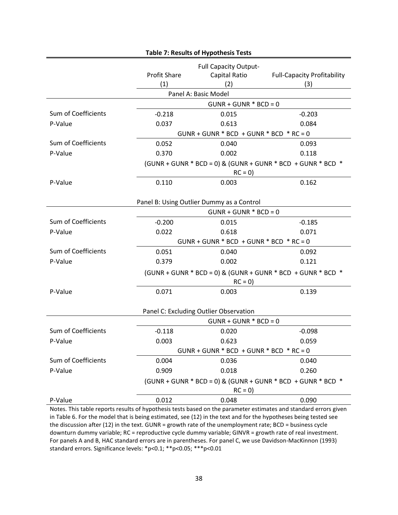| Table 7: Results of Hypothesis Tests |                                                                         |                                                      |                                                                 |  |  |  |
|--------------------------------------|-------------------------------------------------------------------------|------------------------------------------------------|-----------------------------------------------------------------|--|--|--|
|                                      | <b>Profit Share</b><br>(1)                                              | <b>Full Capacity Output-</b><br>Capital Ratio<br>(2) | <b>Full-Capacity Profitability</b><br>(3)                       |  |  |  |
|                                      |                                                                         | Panel A: Basic Model                                 |                                                                 |  |  |  |
|                                      | $GUNR + GUNR * BCD = 0$                                                 |                                                      |                                                                 |  |  |  |
| Sum of Coefficients                  | $-0.218$                                                                | 0.015                                                | $-0.203$                                                        |  |  |  |
| P-Value                              | 0.037                                                                   | 0.613                                                | 0.084                                                           |  |  |  |
|                                      |                                                                         | $GUNR + GUNR * BCD + GUNR * BCD * RC = 0$            |                                                                 |  |  |  |
| Sum of Coefficients                  | 0.052                                                                   | 0.040                                                | 0.093                                                           |  |  |  |
| P-Value                              | 0.370                                                                   | 0.002                                                | 0.118                                                           |  |  |  |
|                                      |                                                                         |                                                      | $(GUNR + GUNR * BCD = 0)$ & $(GUNR + GUNR * BCD + GUNR * BCD *$ |  |  |  |
|                                      |                                                                         | $RC = 0$                                             |                                                                 |  |  |  |
| P-Value                              | 0.110                                                                   | 0.003                                                | 0.162                                                           |  |  |  |
|                                      |                                                                         |                                                      |                                                                 |  |  |  |
|                                      |                                                                         | Panel B: Using Outlier Dummy as a Control            |                                                                 |  |  |  |
|                                      |                                                                         | $GUNR + GUNR * BCD = 0$                              |                                                                 |  |  |  |
| Sum of Coefficients                  | $-0.200$                                                                | 0.015                                                | $-0.185$                                                        |  |  |  |
| P-Value                              | 0.022                                                                   | 0.618                                                | 0.071                                                           |  |  |  |
|                                      |                                                                         | $GUNR + GUNR * BCD + GUNR * BCD * RC = 0$            |                                                                 |  |  |  |
| Sum of Coefficients                  | 0.051                                                                   | 0.040                                                | 0.092                                                           |  |  |  |
| P-Value                              | 0.379                                                                   | 0.002                                                | 0.121                                                           |  |  |  |
|                                      |                                                                         | $RC = 0$                                             | (GUNR + GUNR * BCD = 0) & (GUNR + GUNR * BCD + GUNR * BCD *     |  |  |  |
| P-Value                              | 0.071                                                                   | 0.003                                                | 0.139                                                           |  |  |  |
|                                      |                                                                         |                                                      |                                                                 |  |  |  |
|                                      |                                                                         | Panel C: Excluding Outlier Observation               |                                                                 |  |  |  |
|                                      |                                                                         | $GUNR + GUNR * BCD = 0$                              |                                                                 |  |  |  |
| Sum of Coefficients                  | $-0.118$                                                                | 0.020                                                | $-0.098$                                                        |  |  |  |
| P-Value                              | 0.003                                                                   | 0.623                                                | 0.059                                                           |  |  |  |
|                                      |                                                                         | $GUNR + GUNR * BCD + GUNR * BCD * RC = 0$            |                                                                 |  |  |  |
| Sum of Coefficients                  | 0.004                                                                   | 0.036                                                | 0.040                                                           |  |  |  |
| P-Value                              | 0.909                                                                   | 0.018                                                | 0.260                                                           |  |  |  |
|                                      | (GUNR + GUNR * BCD = 0) & (GUNR + GUNR * BCD + GUNR * BCD *<br>$RC = 0$ |                                                      |                                                                 |  |  |  |
| P-Value                              | 0.012                                                                   | 0.048                                                | 0.090                                                           |  |  |  |
| Notos Thistable                      |                                                                         |                                                      |                                                                 |  |  |  |

# **Table 7: Results of Hypothesis Tests**

Notes. This table reports results of hypothesis tests based on the parameter estimates and standard errors given in Table 6. For the model that is being estimated, see (12) in the text and for the hypotheses being tested see the discussion after (12) in the text. GUNR = growth rate of the unemployment rate; BCD = business cycle downturn dummy variable; RC = reproductive cycle dummy variable; GINVR = growth rate of real investment. For panels A and B, HAC standard errors are in parentheses. For panel C, we use Davidson-MacKinnon (1993) standard errors. Significance levels: \*p<0.1; \*\*p<0.05; \*\*\*p<0.01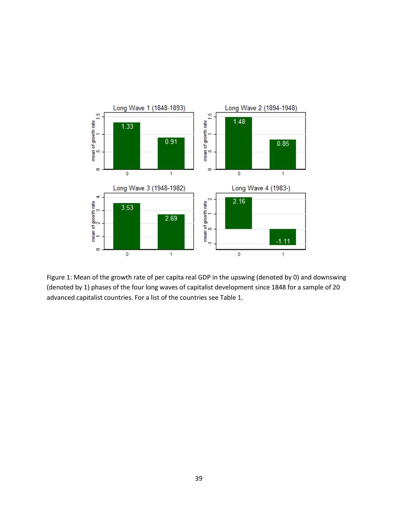

Figure 1: Mean of the growth rate of per capita real GDP in the upswing (denoted by 0) and downswing (denoted by 1) phases of the four long waves of capitalist development since 1848 for a sample of 20 advanced capitalist countries. For a list of the countries see Table 1.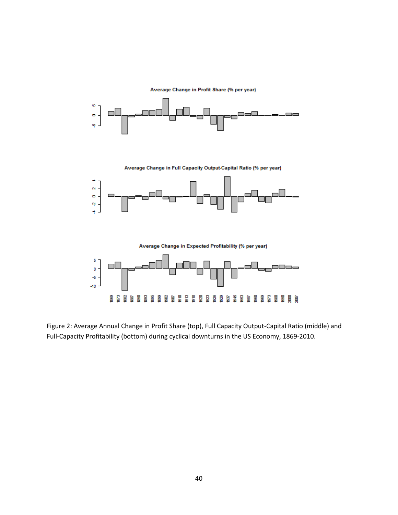

Figure 2: Average Annual Change in Profit Share (top), Full Capacity Output-Capital Ratio (middle) and Full-Capacity Profitability (bottom) during cyclical downturns in the US Economy, 1869-2010.